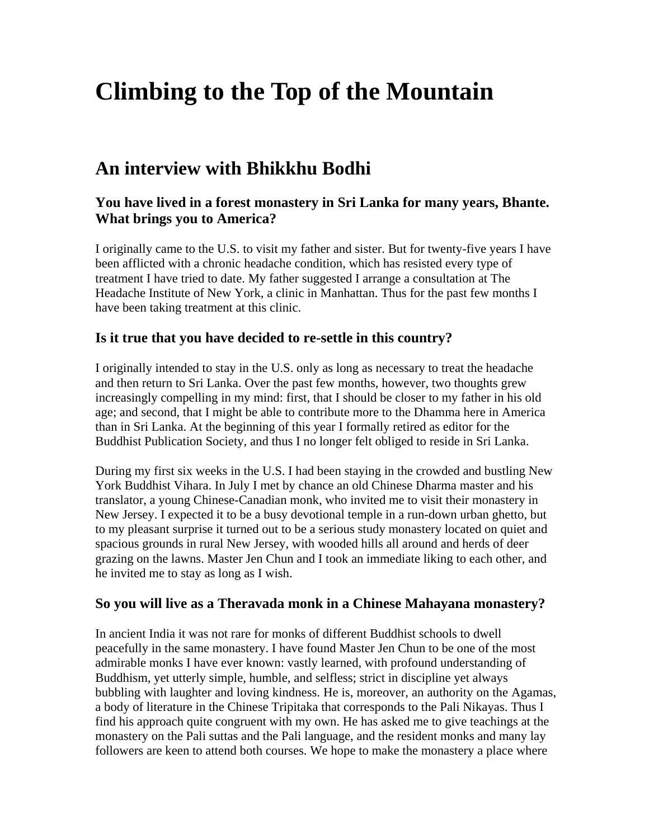# **Climbing to the Top of the Mountain**

# **An interview with Bhikkhu Bodhi**

# **You have lived in a forest monastery in Sri Lanka for many years, Bhante. What brings you to America?**

I originally came to the U.S. to visit my father and sister. But for twenty-five years I have been afflicted with a chronic headache condition, which has resisted every type of treatment I have tried to date. My father suggested I arrange a consultation at The Headache Institute of New York, a clinic in Manhattan. Thus for the past few months I have been taking treatment at this clinic.

## **Is it true that you have decided to re-settle in this country?**

I originally intended to stay in the U.S. only as long as necessary to treat the headache and then return to Sri Lanka. Over the past few months, however, two thoughts grew increasingly compelling in my mind: first, that I should be closer to my father in his old age; and second, that I might be able to contribute more to the Dhamma here in America than in Sri Lanka. At the beginning of this year I formally retired as editor for the Buddhist Publication Society, and thus I no longer felt obliged to reside in Sri Lanka.

During my first six weeks in the U.S. I had been staying in the crowded and bustling New York Buddhist Vihara. In July I met by chance an old Chinese Dharma master and his translator, a young Chinese-Canadian monk, who invited me to visit their monastery in New Jersey. I expected it to be a busy devotional temple in a run-down urban ghetto, but to my pleasant surprise it turned out to be a serious study monastery located on quiet and spacious grounds in rural New Jersey, with wooded hills all around and herds of deer grazing on the lawns. Master Jen Chun and I took an immediate liking to each other, and he invited me to stay as long as I wish.

#### **So you will live as a Theravada monk in a Chinese Mahayana monastery?**

In ancient India it was not rare for monks of different Buddhist schools to dwell peacefully in the same monastery. I have found Master Jen Chun to be one of the most admirable monks I have ever known: vastly learned, with profound understanding of Buddhism, yet utterly simple, humble, and selfless; strict in discipline yet always bubbling with laughter and loving kindness. He is, moreover, an authority on the Agamas, a body of literature in the Chinese Tripitaka that corresponds to the Pali Nikayas. Thus I find his approach quite congruent with my own. He has asked me to give teachings at the monastery on the Pali suttas and the Pali language, and the resident monks and many lay followers are keen to attend both courses. We hope to make the monastery a place where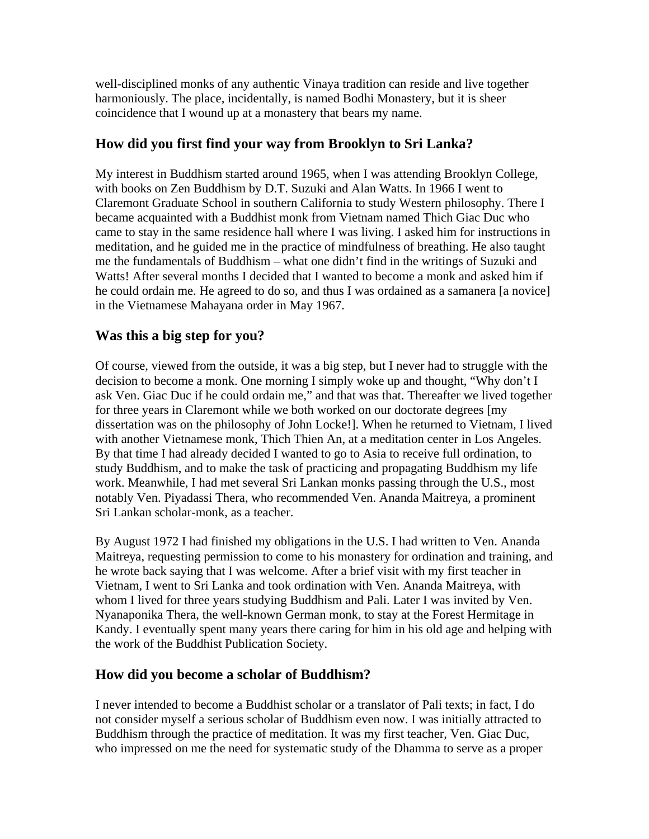well-disciplined monks of any authentic Vinaya tradition can reside and live together harmoniously. The place, incidentally, is named Bodhi Monastery, but it is sheer coincidence that I wound up at a monastery that bears my name.

# **How did you first find your way from Brooklyn to Sri Lanka?**

My interest in Buddhism started around 1965, when I was attending Brooklyn College, with books on Zen Buddhism by D.T. Suzuki and Alan Watts. In 1966 I went to Claremont Graduate School in southern California to study Western philosophy. There I became acquainted with a Buddhist monk from Vietnam named Thich Giac Duc who came to stay in the same residence hall where I was living. I asked him for instructions in meditation, and he guided me in the practice of mindfulness of breathing. He also taught me the fundamentals of Buddhism – what one didn't find in the writings of Suzuki and Watts! After several months I decided that I wanted to become a monk and asked him if he could ordain me. He agreed to do so, and thus I was ordained as a samanera [a novice] in the Vietnamese Mahayana order in May 1967.

# **Was this a big step for you?**

Of course, viewed from the outside, it was a big step, but I never had to struggle with the decision to become a monk. One morning I simply woke up and thought, "Why don't I ask Ven. Giac Duc if he could ordain me," and that was that. Thereafter we lived together for three years in Claremont while we both worked on our doctorate degrees [my dissertation was on the philosophy of John Locke!]. When he returned to Vietnam, I lived with another Vietnamese monk, Thich Thien An, at a meditation center in Los Angeles. By that time I had already decided I wanted to go to Asia to receive full ordination, to study Buddhism, and to make the task of practicing and propagating Buddhism my life work. Meanwhile, I had met several Sri Lankan monks passing through the U.S., most notably Ven. Piyadassi Thera, who recommended Ven. Ananda Maitreya, a prominent Sri Lankan scholar-monk, as a teacher.

By August 1972 I had finished my obligations in the U.S. I had written to Ven. Ananda Maitreya, requesting permission to come to his monastery for ordination and training, and he wrote back saying that I was welcome. After a brief visit with my first teacher in Vietnam, I went to Sri Lanka and took ordination with Ven. Ananda Maitreya, with whom I lived for three years studying Buddhism and Pali. Later I was invited by Ven. Nyanaponika Thera, the well-known German monk, to stay at the Forest Hermitage in Kandy. I eventually spent many years there caring for him in his old age and helping with the work of the Buddhist Publication Society.

## **How did you become a scholar of Buddhism?**

I never intended to become a Buddhist scholar or a translator of Pali texts; in fact, I do not consider myself a serious scholar of Buddhism even now. I was initially attracted to Buddhism through the practice of meditation. It was my first teacher, Ven. Giac Duc, who impressed on me the need for systematic study of the Dhamma to serve as a proper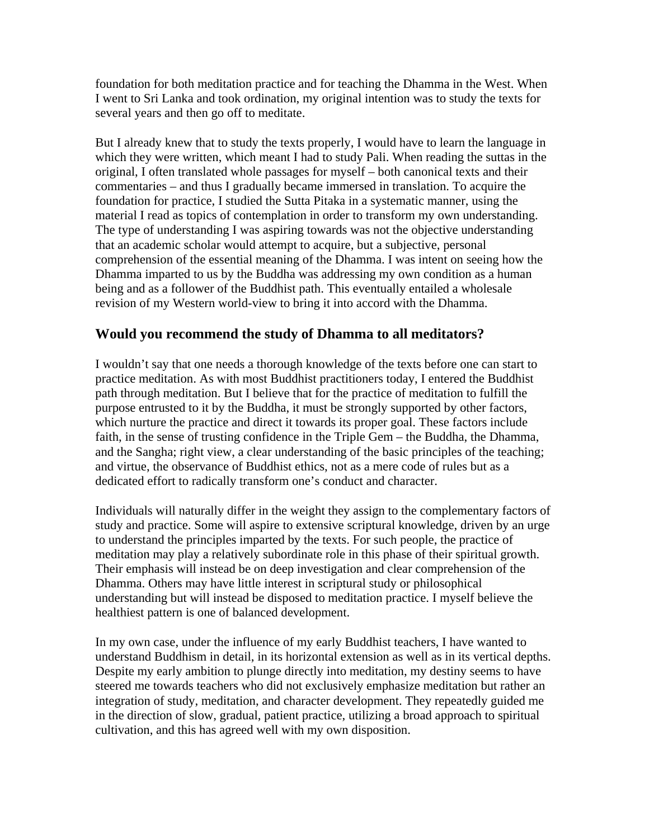foundation for both meditation practice and for teaching the Dhamma in the West. When I went to Sri Lanka and took ordination, my original intention was to study the texts for several years and then go off to meditate.

But I already knew that to study the texts properly, I would have to learn the language in which they were written, which meant I had to study Pali. When reading the suttas in the original, I often translated whole passages for myself – both canonical texts and their commentaries – and thus I gradually became immersed in translation. To acquire the foundation for practice, I studied the Sutta Pitaka in a systematic manner, using the material I read as topics of contemplation in order to transform my own understanding. The type of understanding I was aspiring towards was not the objective understanding that an academic scholar would attempt to acquire, but a subjective, personal comprehension of the essential meaning of the Dhamma. I was intent on seeing how the Dhamma imparted to us by the Buddha was addressing my own condition as a human being and as a follower of the Buddhist path. This eventually entailed a wholesale revision of my Western world-view to bring it into accord with the Dhamma.

## **Would you recommend the study of Dhamma to all meditators?**

I wouldn't say that one needs a thorough knowledge of the texts before one can start to practice meditation. As with most Buddhist practitioners today, I entered the Buddhist path through meditation. But I believe that for the practice of meditation to fulfill the purpose entrusted to it by the Buddha, it must be strongly supported by other factors, which nurture the practice and direct it towards its proper goal. These factors include faith, in the sense of trusting confidence in the Triple Gem – the Buddha, the Dhamma, and the Sangha; right view, a clear understanding of the basic principles of the teaching; and virtue, the observance of Buddhist ethics, not as a mere code of rules but as a dedicated effort to radically transform one's conduct and character.

Individuals will naturally differ in the weight they assign to the complementary factors of study and practice. Some will aspire to extensive scriptural knowledge, driven by an urge to understand the principles imparted by the texts. For such people, the practice of meditation may play a relatively subordinate role in this phase of their spiritual growth. Their emphasis will instead be on deep investigation and clear comprehension of the Dhamma. Others may have little interest in scriptural study or philosophical understanding but will instead be disposed to meditation practice. I myself believe the healthiest pattern is one of balanced development.

In my own case, under the influence of my early Buddhist teachers, I have wanted to understand Buddhism in detail, in its horizontal extension as well as in its vertical depths. Despite my early ambition to plunge directly into meditation, my destiny seems to have steered me towards teachers who did not exclusively emphasize meditation but rather an integration of study, meditation, and character development. They repeatedly guided me in the direction of slow, gradual, patient practice, utilizing a broad approach to spiritual cultivation, and this has agreed well with my own disposition.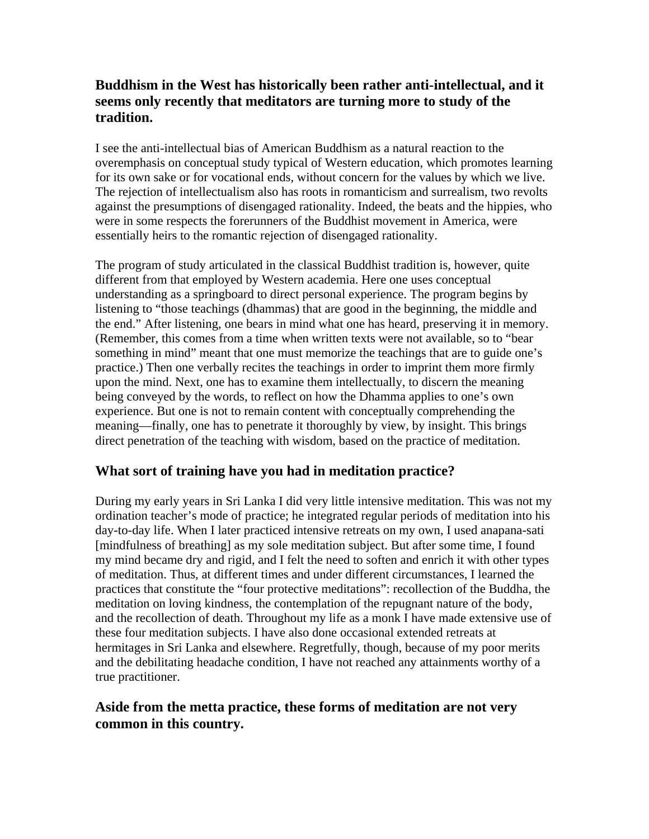# **Buddhism in the West has historically been rather anti-intellectual, and it seems only recently that meditators are turning more to study of the tradition.**

I see the anti-intellectual bias of American Buddhism as a natural reaction to the overemphasis on conceptual study typical of Western education, which promotes learning for its own sake or for vocational ends, without concern for the values by which we live. The rejection of intellectualism also has roots in romanticism and surrealism, two revolts against the presumptions of disengaged rationality. Indeed, the beats and the hippies, who were in some respects the forerunners of the Buddhist movement in America, were essentially heirs to the romantic rejection of disengaged rationality.

The program of study articulated in the classical Buddhist tradition is, however, quite different from that employed by Western academia. Here one uses conceptual understanding as a springboard to direct personal experience. The program begins by listening to "those teachings (dhammas) that are good in the beginning, the middle and the end." After listening, one bears in mind what one has heard, preserving it in memory. (Remember, this comes from a time when written texts were not available, so to "bear something in mind" meant that one must memorize the teachings that are to guide one's practice.) Then one verbally recites the teachings in order to imprint them more firmly upon the mind. Next, one has to examine them intellectually, to discern the meaning being conveyed by the words, to reflect on how the Dhamma applies to one's own experience. But one is not to remain content with conceptually comprehending the meaning—finally, one has to penetrate it thoroughly by view, by insight. This brings direct penetration of the teaching with wisdom, based on the practice of meditation.

# **What sort of training have you had in meditation practice?**

During my early years in Sri Lanka I did very little intensive meditation. This was not my ordination teacher's mode of practice; he integrated regular periods of meditation into his day-to-day life. When I later practiced intensive retreats on my own, I used anapana-sati [mindfulness of breathing] as my sole meditation subject. But after some time, I found my mind became dry and rigid, and I felt the need to soften and enrich it with other types of meditation. Thus, at different times and under different circumstances, I learned the practices that constitute the "four protective meditations": recollection of the Buddha, the meditation on loving kindness, the contemplation of the repugnant nature of the body, and the recollection of death. Throughout my life as a monk I have made extensive use of these four meditation subjects. I have also done occasional extended retreats at hermitages in Sri Lanka and elsewhere. Regretfully, though, because of my poor merits and the debilitating headache condition, I have not reached any attainments worthy of a true practitioner.

# **Aside from the metta practice, these forms of meditation are not very common in this country.**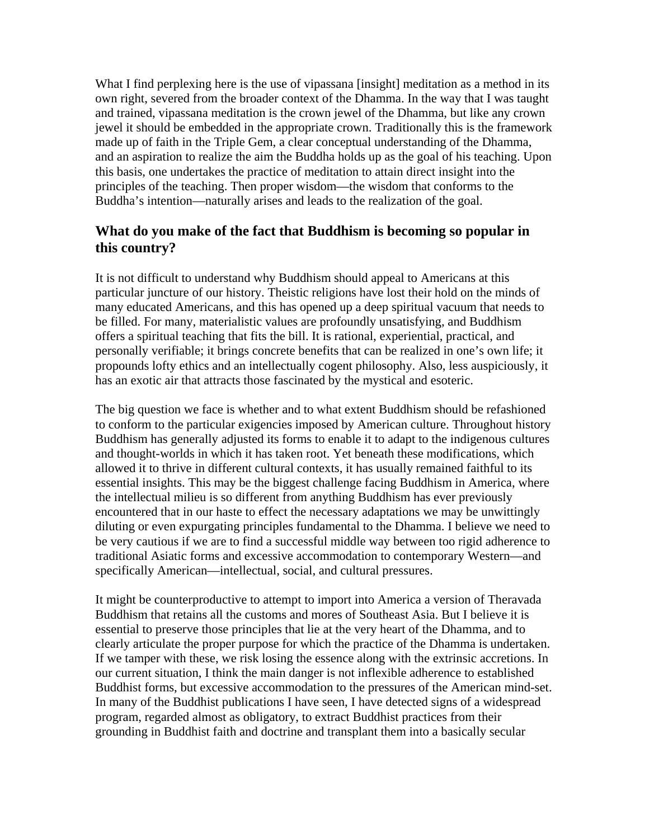What I find perplexing here is the use of vipassana [insight] meditation as a method in its own right, severed from the broader context of the Dhamma. In the way that I was taught and trained, vipassana meditation is the crown jewel of the Dhamma, but like any crown jewel it should be embedded in the appropriate crown. Traditionally this is the framework made up of faith in the Triple Gem, a clear conceptual understanding of the Dhamma, and an aspiration to realize the aim the Buddha holds up as the goal of his teaching. Upon this basis, one undertakes the practice of meditation to attain direct insight into the principles of the teaching. Then proper wisdom—the wisdom that conforms to the Buddha's intention—naturally arises and leads to the realization of the goal.

# **What do you make of the fact that Buddhism is becoming so popular in this country?**

It is not difficult to understand why Buddhism should appeal to Americans at this particular juncture of our history. Theistic religions have lost their hold on the minds of many educated Americans, and this has opened up a deep spiritual vacuum that needs to be filled. For many, materialistic values are profoundly unsatisfying, and Buddhism offers a spiritual teaching that fits the bill. It is rational, experiential, practical, and personally verifiable; it brings concrete benefits that can be realized in one's own life; it propounds lofty ethics and an intellectually cogent philosophy. Also, less auspiciously, it has an exotic air that attracts those fascinated by the mystical and esoteric.

The big question we face is whether and to what extent Buddhism should be refashioned to conform to the particular exigencies imposed by American culture. Throughout history Buddhism has generally adjusted its forms to enable it to adapt to the indigenous cultures and thought-worlds in which it has taken root. Yet beneath these modifications, which allowed it to thrive in different cultural contexts, it has usually remained faithful to its essential insights. This may be the biggest challenge facing Buddhism in America, where the intellectual milieu is so different from anything Buddhism has ever previously encountered that in our haste to effect the necessary adaptations we may be unwittingly diluting or even expurgating principles fundamental to the Dhamma. I believe we need to be very cautious if we are to find a successful middle way between too rigid adherence to traditional Asiatic forms and excessive accommodation to contemporary Western—and specifically American—intellectual, social, and cultural pressures.

It might be counterproductive to attempt to import into America a version of Theravada Buddhism that retains all the customs and mores of Southeast Asia. But I believe it is essential to preserve those principles that lie at the very heart of the Dhamma, and to clearly articulate the proper purpose for which the practice of the Dhamma is undertaken. If we tamper with these, we risk losing the essence along with the extrinsic accretions. In our current situation, I think the main danger is not inflexible adherence to established Buddhist forms, but excessive accommodation to the pressures of the American mind-set. In many of the Buddhist publications I have seen, I have detected signs of a widespread program, regarded almost as obligatory, to extract Buddhist practices from their grounding in Buddhist faith and doctrine and transplant them into a basically secular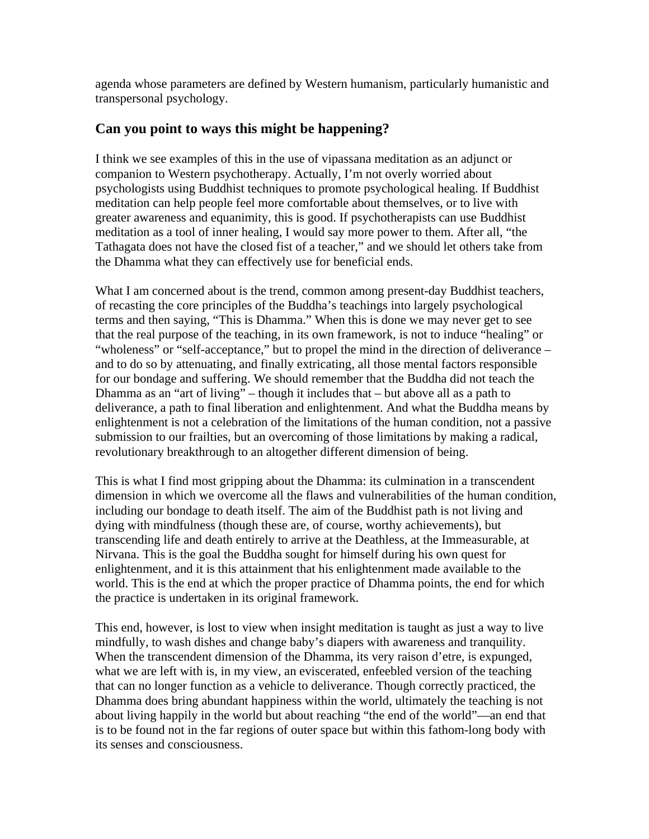agenda whose parameters are defined by Western humanism, particularly humanistic and transpersonal psychology.

#### **Can you point to ways this might be happening?**

I think we see examples of this in the use of vipassana meditation as an adjunct or companion to Western psychotherapy. Actually, I'm not overly worried about psychologists using Buddhist techniques to promote psychological healing. If Buddhist meditation can help people feel more comfortable about themselves, or to live with greater awareness and equanimity, this is good. If psychotherapists can use Buddhist meditation as a tool of inner healing, I would say more power to them. After all, "the Tathagata does not have the closed fist of a teacher," and we should let others take from the Dhamma what they can effectively use for beneficial ends.

What I am concerned about is the trend, common among present-day Buddhist teachers, of recasting the core principles of the Buddha's teachings into largely psychological terms and then saying, "This is Dhamma." When this is done we may never get to see that the real purpose of the teaching, in its own framework, is not to induce "healing" or "wholeness" or "self-acceptance," but to propel the mind in the direction of deliverance – and to do so by attenuating, and finally extricating, all those mental factors responsible for our bondage and suffering. We should remember that the Buddha did not teach the Dhamma as an "art of living" – though it includes that – but above all as a path to deliverance, a path to final liberation and enlightenment. And what the Buddha means by enlightenment is not a celebration of the limitations of the human condition, not a passive submission to our frailties, but an overcoming of those limitations by making a radical, revolutionary breakthrough to an altogether different dimension of being.

This is what I find most gripping about the Dhamma: its culmination in a transcendent dimension in which we overcome all the flaws and vulnerabilities of the human condition, including our bondage to death itself. The aim of the Buddhist path is not living and dying with mindfulness (though these are, of course, worthy achievements), but transcending life and death entirely to arrive at the Deathless, at the Immeasurable, at Nirvana. This is the goal the Buddha sought for himself during his own quest for enlightenment, and it is this attainment that his enlightenment made available to the world. This is the end at which the proper practice of Dhamma points, the end for which the practice is undertaken in its original framework.

This end, however, is lost to view when insight meditation is taught as just a way to live mindfully, to wash dishes and change baby's diapers with awareness and tranquility. When the transcendent dimension of the Dhamma, its very raison d'etre, is expunged, what we are left with is, in my view, an eviscerated, enfeebled version of the teaching that can no longer function as a vehicle to deliverance. Though correctly practiced, the Dhamma does bring abundant happiness within the world, ultimately the teaching is not about living happily in the world but about reaching "the end of the world"—an end that is to be found not in the far regions of outer space but within this fathom-long body with its senses and consciousness.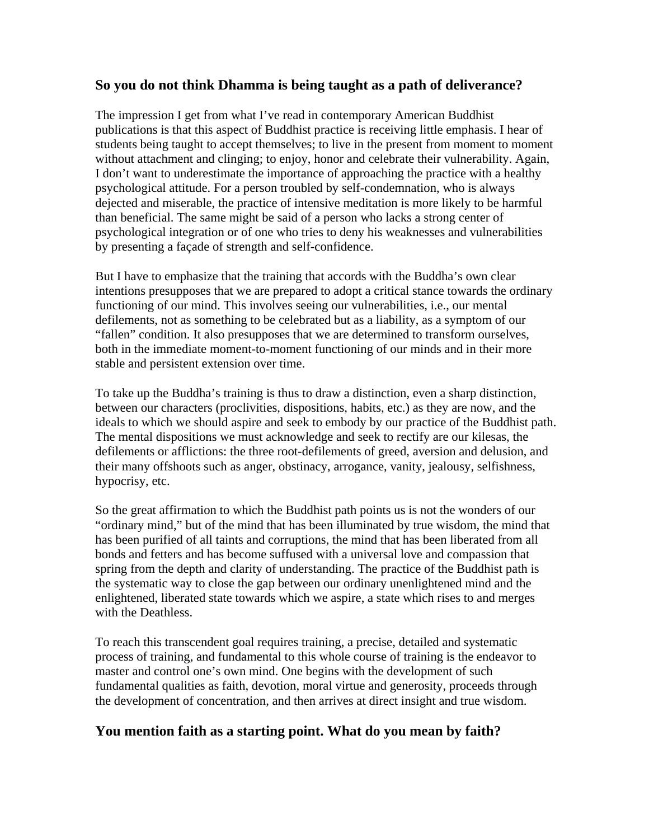#### **So you do not think Dhamma is being taught as a path of deliverance?**

The impression I get from what I've read in contemporary American Buddhist publications is that this aspect of Buddhist practice is receiving little emphasis. I hear of students being taught to accept themselves; to live in the present from moment to moment without attachment and clinging; to enjoy, honor and celebrate their vulnerability. Again, I don't want to underestimate the importance of approaching the practice with a healthy psychological attitude. For a person troubled by self-condemnation, who is always dejected and miserable, the practice of intensive meditation is more likely to be harmful than beneficial. The same might be said of a person who lacks a strong center of psychological integration or of one who tries to deny his weaknesses and vulnerabilities by presenting a façade of strength and self-confidence.

But I have to emphasize that the training that accords with the Buddha's own clear intentions presupposes that we are prepared to adopt a critical stance towards the ordinary functioning of our mind. This involves seeing our vulnerabilities, i.e., our mental defilements, not as something to be celebrated but as a liability, as a symptom of our "fallen" condition. It also presupposes that we are determined to transform ourselves, both in the immediate moment-to-moment functioning of our minds and in their more stable and persistent extension over time.

To take up the Buddha's training is thus to draw a distinction, even a sharp distinction, between our characters (proclivities, dispositions, habits, etc.) as they are now, and the ideals to which we should aspire and seek to embody by our practice of the Buddhist path. The mental dispositions we must acknowledge and seek to rectify are our kilesas, the defilements or afflictions: the three root-defilements of greed, aversion and delusion, and their many offshoots such as anger, obstinacy, arrogance, vanity, jealousy, selfishness, hypocrisy, etc.

So the great affirmation to which the Buddhist path points us is not the wonders of our "ordinary mind," but of the mind that has been illuminated by true wisdom, the mind that has been purified of all taints and corruptions, the mind that has been liberated from all bonds and fetters and has become suffused with a universal love and compassion that spring from the depth and clarity of understanding. The practice of the Buddhist path is the systematic way to close the gap between our ordinary unenlightened mind and the enlightened, liberated state towards which we aspire, a state which rises to and merges with the Deathless.

To reach this transcendent goal requires training, a precise, detailed and systematic process of training, and fundamental to this whole course of training is the endeavor to master and control one's own mind. One begins with the development of such fundamental qualities as faith, devotion, moral virtue and generosity, proceeds through the development of concentration, and then arrives at direct insight and true wisdom.

## **You mention faith as a starting point. What do you mean by faith?**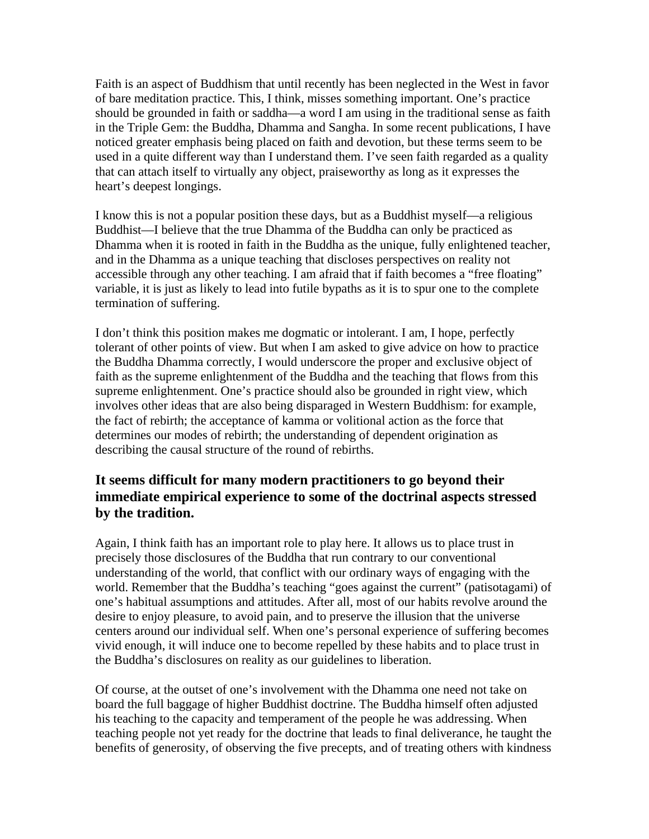Faith is an aspect of Buddhism that until recently has been neglected in the West in favor of bare meditation practice. This, I think, misses something important. One's practice should be grounded in faith or saddha—a word I am using in the traditional sense as faith in the Triple Gem: the Buddha, Dhamma and Sangha. In some recent publications, I have noticed greater emphasis being placed on faith and devotion, but these terms seem to be used in a quite different way than I understand them. I've seen faith regarded as a quality that can attach itself to virtually any object, praiseworthy as long as it expresses the heart's deepest longings.

I know this is not a popular position these days, but as a Buddhist myself—a religious Buddhist—I believe that the true Dhamma of the Buddha can only be practiced as Dhamma when it is rooted in faith in the Buddha as the unique, fully enlightened teacher, and in the Dhamma as a unique teaching that discloses perspectives on reality not accessible through any other teaching. I am afraid that if faith becomes a "free floating" variable, it is just as likely to lead into futile bypaths as it is to spur one to the complete termination of suffering.

I don't think this position makes me dogmatic or intolerant. I am, I hope, perfectly tolerant of other points of view. But when I am asked to give advice on how to practice the Buddha Dhamma correctly, I would underscore the proper and exclusive object of faith as the supreme enlightenment of the Buddha and the teaching that flows from this supreme enlightenment. One's practice should also be grounded in right view, which involves other ideas that are also being disparaged in Western Buddhism: for example, the fact of rebirth; the acceptance of kamma or volitional action as the force that determines our modes of rebirth; the understanding of dependent origination as describing the causal structure of the round of rebirths.

# **It seems difficult for many modern practitioners to go beyond their immediate empirical experience to some of the doctrinal aspects stressed by the tradition.**

Again, I think faith has an important role to play here. It allows us to place trust in precisely those disclosures of the Buddha that run contrary to our conventional understanding of the world, that conflict with our ordinary ways of engaging with the world. Remember that the Buddha's teaching "goes against the current" (patisotagami) of one's habitual assumptions and attitudes. After all, most of our habits revolve around the desire to enjoy pleasure, to avoid pain, and to preserve the illusion that the universe centers around our individual self. When one's personal experience of suffering becomes vivid enough, it will induce one to become repelled by these habits and to place trust in the Buddha's disclosures on reality as our guidelines to liberation.

Of course, at the outset of one's involvement with the Dhamma one need not take on board the full baggage of higher Buddhist doctrine. The Buddha himself often adjusted his teaching to the capacity and temperament of the people he was addressing. When teaching people not yet ready for the doctrine that leads to final deliverance, he taught the benefits of generosity, of observing the five precepts, and of treating others with kindness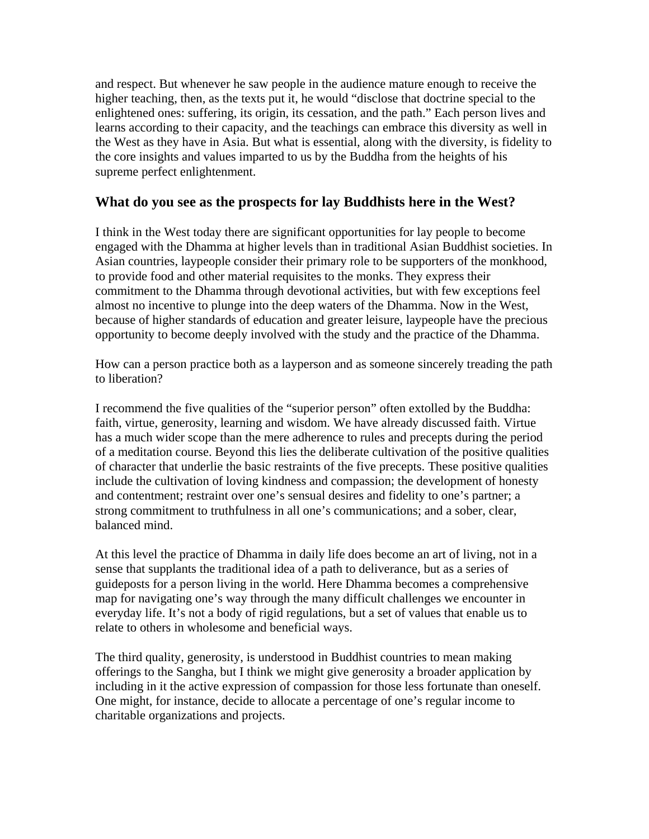and respect. But whenever he saw people in the audience mature enough to receive the higher teaching, then, as the texts put it, he would "disclose that doctrine special to the enlightened ones: suffering, its origin, its cessation, and the path." Each person lives and learns according to their capacity, and the teachings can embrace this diversity as well in the West as they have in Asia. But what is essential, along with the diversity, is fidelity to the core insights and values imparted to us by the Buddha from the heights of his supreme perfect enlightenment.

#### **What do you see as the prospects for lay Buddhists here in the West?**

I think in the West today there are significant opportunities for lay people to become engaged with the Dhamma at higher levels than in traditional Asian Buddhist societies. In Asian countries, laypeople consider their primary role to be supporters of the monkhood, to provide food and other material requisites to the monks. They express their commitment to the Dhamma through devotional activities, but with few exceptions feel almost no incentive to plunge into the deep waters of the Dhamma. Now in the West, because of higher standards of education and greater leisure, laypeople have the precious opportunity to become deeply involved with the study and the practice of the Dhamma.

How can a person practice both as a layperson and as someone sincerely treading the path to liberation?

I recommend the five qualities of the "superior person" often extolled by the Buddha: faith, virtue, generosity, learning and wisdom. We have already discussed faith. Virtue has a much wider scope than the mere adherence to rules and precepts during the period of a meditation course. Beyond this lies the deliberate cultivation of the positive qualities of character that underlie the basic restraints of the five precepts. These positive qualities include the cultivation of loving kindness and compassion; the development of honesty and contentment; restraint over one's sensual desires and fidelity to one's partner; a strong commitment to truthfulness in all one's communications; and a sober, clear, balanced mind.

At this level the practice of Dhamma in daily life does become an art of living, not in a sense that supplants the traditional idea of a path to deliverance, but as a series of guideposts for a person living in the world. Here Dhamma becomes a comprehensive map for navigating one's way through the many difficult challenges we encounter in everyday life. It's not a body of rigid regulations, but a set of values that enable us to relate to others in wholesome and beneficial ways.

The third quality, generosity, is understood in Buddhist countries to mean making offerings to the Sangha, but I think we might give generosity a broader application by including in it the active expression of compassion for those less fortunate than oneself. One might, for instance, decide to allocate a percentage of one's regular income to charitable organizations and projects.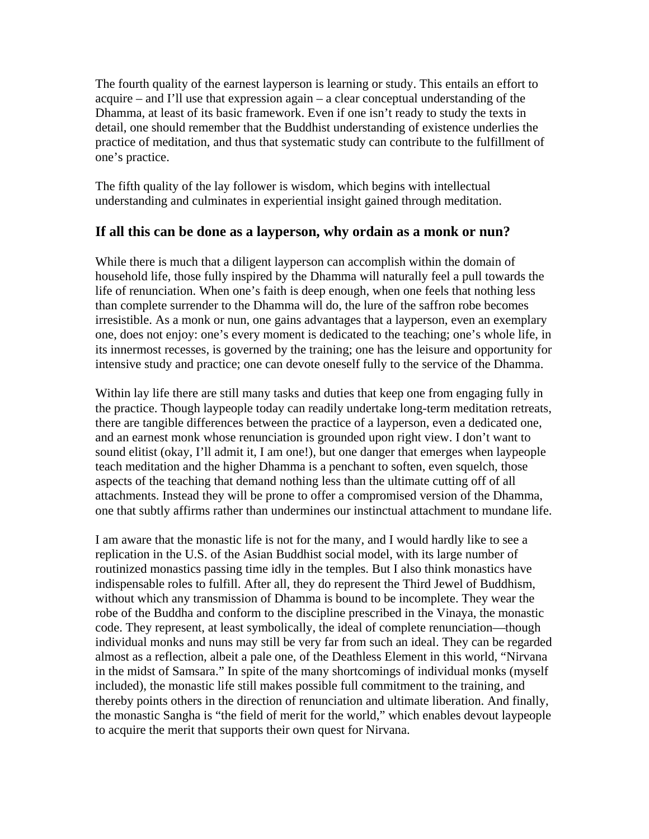The fourth quality of the earnest layperson is learning or study. This entails an effort to acquire – and I'll use that expression again – a clear conceptual understanding of the Dhamma, at least of its basic framework. Even if one isn't ready to study the texts in detail, one should remember that the Buddhist understanding of existence underlies the practice of meditation, and thus that systematic study can contribute to the fulfillment of one's practice.

The fifth quality of the lay follower is wisdom, which begins with intellectual understanding and culminates in experiential insight gained through meditation.

#### **If all this can be done as a layperson, why ordain as a monk or nun?**

While there is much that a diligent layperson can accomplish within the domain of household life, those fully inspired by the Dhamma will naturally feel a pull towards the life of renunciation. When one's faith is deep enough, when one feels that nothing less than complete surrender to the Dhamma will do, the lure of the saffron robe becomes irresistible. As a monk or nun, one gains advantages that a layperson, even an exemplary one, does not enjoy: one's every moment is dedicated to the teaching; one's whole life, in its innermost recesses, is governed by the training; one has the leisure and opportunity for intensive study and practice; one can devote oneself fully to the service of the Dhamma.

Within lay life there are still many tasks and duties that keep one from engaging fully in the practice. Though laypeople today can readily undertake long-term meditation retreats, there are tangible differences between the practice of a layperson, even a dedicated one, and an earnest monk whose renunciation is grounded upon right view. I don't want to sound elitist (okay, I'll admit it, I am one!), but one danger that emerges when laypeople teach meditation and the higher Dhamma is a penchant to soften, even squelch, those aspects of the teaching that demand nothing less than the ultimate cutting off of all attachments. Instead they will be prone to offer a compromised version of the Dhamma, one that subtly affirms rather than undermines our instinctual attachment to mundane life.

I am aware that the monastic life is not for the many, and I would hardly like to see a replication in the U.S. of the Asian Buddhist social model, with its large number of routinized monastics passing time idly in the temples. But I also think monastics have indispensable roles to fulfill. After all, they do represent the Third Jewel of Buddhism, without which any transmission of Dhamma is bound to be incomplete. They wear the robe of the Buddha and conform to the discipline prescribed in the Vinaya, the monastic code. They represent, at least symbolically, the ideal of complete renunciation—though individual monks and nuns may still be very far from such an ideal. They can be regarded almost as a reflection, albeit a pale one, of the Deathless Element in this world, "Nirvana in the midst of Samsara." In spite of the many shortcomings of individual monks (myself included), the monastic life still makes possible full commitment to the training, and thereby points others in the direction of renunciation and ultimate liberation. And finally, the monastic Sangha is "the field of merit for the world," which enables devout laypeople to acquire the merit that supports their own quest for Nirvana.